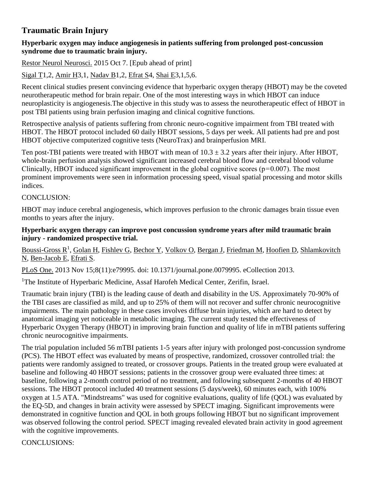# **Traumatic Brain Injury**

#### **Hyperbaric oxygen may induce angiogenesis in patients suffering from prolonged post-concussion syndrome due to traumatic brain injury.**

[Restor Neurol Neurosci.](http://www.ncbi.nlm.nih.gov/pubmed/26484702) 2015 Oct 7. [Epub ahead of print]

[Sigal T1](http://www.ncbi.nlm.nih.gov/pubmed/?term=Sigal%20T%5BAuthor%5D&cauthor=true&cauthor_uid=26484702),2, [Amir H3](http://www.ncbi.nlm.nih.gov/pubmed/?term=Amir%20H%5BAuthor%5D&cauthor=true&cauthor_uid=26484702),1, [Nadav B1](http://www.ncbi.nlm.nih.gov/pubmed/?term=Nadav%20B%5BAuthor%5D&cauthor=true&cauthor_uid=26484702),2, [Efrat S4](http://www.ncbi.nlm.nih.gov/pubmed/?term=Efrat%20S%5BAuthor%5D&cauthor=true&cauthor_uid=26484702), [Shai E3](http://www.ncbi.nlm.nih.gov/pubmed/?term=Shai%20E%5BAuthor%5D&cauthor=true&cauthor_uid=26484702),1,5,6.

Recent clinical studies present convincing evidence that hyperbaric oxygen therapy (HBOT) may be the coveted neurotherapeutic method for brain repair. One of the most interesting ways in which HBOT can induce neuroplasticity is angiogenesis.The objective in this study was to assess the neurotherapeutic effect of HBOT in post TBI patients using brain perfusion imaging and clinical cognitive functions.

Retrospective analysis of patients suffering from chronic neuro-cognitive impairment from TBI treated with HBOT. The HBOT protocol included 60 daily HBOT sessions, 5 days per week. All patients had pre and post HBOT objective computerized cognitive tests (NeuroTrax) and brainperfusion MRI.

Ten post-TBI patients were treated with HBOT with mean of  $10.3 \pm 3.2$  years after their injury. After HBOT, whole-brain perfusion analysis showed significant increased cerebral blood flow and cerebral blood volume Clinically, HBOT induced significant improvement in the global cognitive scores ( $p=0.007$ ). The most prominent improvements were seen in information processing speed, visual spatial processing and motor skills indices.

#### CONCLUSION:

HBOT may induce cerebral angiogenesis, which improves perfusion to the chronic damages brain tissue even months to years after the injury.

#### **Hyperbaric oxygen therapy can improve post concussion syndrome years after mild traumatic brain injury - randomized prospective trial.**

[Boussi-Gross R](http://www.ncbi.nlm.nih.gov/pubmed/?term=Boussi-Gross%20R%5BAuthor%5D&cauthor=true&cauthor_uid=24260334)<sup>1</sup>, [Golan H,](http://www.ncbi.nlm.nih.gov/pubmed/?term=Golan%20H%5BAuthor%5D&cauthor=true&cauthor_uid=24260334) [Fishlev G,](http://www.ncbi.nlm.nih.gov/pubmed/?term=Fishlev%20G%5BAuthor%5D&cauthor=true&cauthor_uid=24260334) [Bechor Y,](http://www.ncbi.nlm.nih.gov/pubmed/?term=Bechor%20Y%5BAuthor%5D&cauthor=true&cauthor_uid=24260334) [Volkov O,](http://www.ncbi.nlm.nih.gov/pubmed/?term=Volkov%20O%5BAuthor%5D&cauthor=true&cauthor_uid=24260334) [Bergan J,](http://www.ncbi.nlm.nih.gov/pubmed/?term=Bergan%20J%5BAuthor%5D&cauthor=true&cauthor_uid=24260334) [Friedman M,](http://www.ncbi.nlm.nih.gov/pubmed/?term=Friedman%20M%5BAuthor%5D&cauthor=true&cauthor_uid=24260334) [Hoofien D,](http://www.ncbi.nlm.nih.gov/pubmed/?term=Hoofien%20D%5BAuthor%5D&cauthor=true&cauthor_uid=24260334) Shlamkovitch [N,](http://www.ncbi.nlm.nih.gov/pubmed/?term=Shlamkovitch%20N%5BAuthor%5D&cauthor=true&cauthor_uid=24260334) [Ben-Jacob E,](http://www.ncbi.nlm.nih.gov/pubmed/?term=Ben-Jacob%20E%5BAuthor%5D&cauthor=true&cauthor_uid=24260334) [Efrati S.](http://www.ncbi.nlm.nih.gov/pubmed/?term=Efrati%20S%5BAuthor%5D&cauthor=true&cauthor_uid=24260334)

[PLoS One.](http://www.ncbi.nlm.nih.gov/pubmed/24260334) 2013 Nov 15;8(11):e79995. doi: 10.1371/journal.pone.0079995. eCollection 2013.

<sup>1</sup>The Institute of Hyperbaric Medicine, Assaf Harofeh Medical Center, Zerifin, Israel.

Traumatic brain injury (TBI) is the leading cause of death and disability in the US. Approximately 70-90% of the TBI cases are classified as mild, and up to 25% of them will not recover and suffer chronic neurocognitive impairments. The main pathology in these cases involves diffuse brain injuries, which are hard to detect by anatomical imaging yet noticeable in metabolic imaging. The current study tested the effectiveness of Hyperbaric Oxygen Therapy (HBOT) in improving brain function and quality of life in mTBI patients suffering chronic neurocognitive impairments.

The trial population included 56 mTBI patients 1-5 years after injury with prolonged post-concussion syndrome (PCS). The HBOT effect was evaluated by means of prospective, randomized, crossover controlled trial: the patients were randomly assigned to treated, or crossover groups. Patients in the treated group were evaluated at baseline and following 40 HBOT sessions; patients in the crossover group were evaluated three times: at baseline, following a 2-month control period of no treatment, and following subsequent 2-months of 40 HBOT sessions. The HBOT protocol included 40 treatment sessions (5 days/week), 60 minutes each, with 100% oxygen at 1.5 ATA. "Mindstreams" was used for cognitive evaluations, quality of life (QOL) was evaluated by the EQ-5D, and changes in brain activity were assessed by SPECT imaging. Significant improvements were demonstrated in cognitive function and QOL in both groups following HBOT but no significant improvement was observed following the control period. SPECT imaging revealed elevated brain activity in good agreement with the cognitive improvements.

CONCLUSIONS: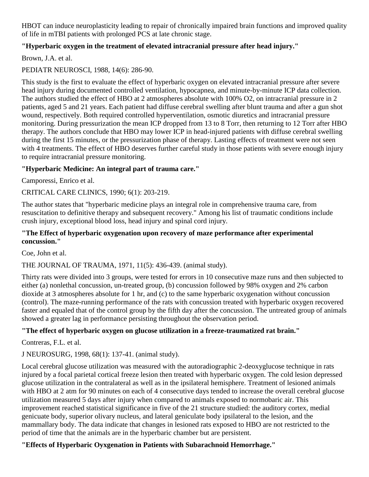HBOT can induce neuroplasticity leading to repair of chronically impaired brain functions and improved quality of life in mTBI patients with prolonged PCS at late chronic stage.

# **"Hyperbaric oxygen in the treatment of elevated intracranial pressure after head injury."**

Brown, J.A. et al.

PEDIATR NEUROSCI, 1988, 14(6): 286-90.

This study is the first to evaluate the effect of hyperbaric oxygen on elevated intracranial pressure after severe head injury during documented controlled ventilation, hypocapnea, and minute-by-minute ICP data collection. The authors studied the effect of HBO at 2 atmospheres absolute with 100% O2, on intracranial pressure in 2 patients, aged 5 and 21 years. Each patient had diffuse cerebral swelling after blunt trauma and after a gun shot wound, respectively. Both required controlled hyperventilation, osmotic diuretics and intracranial pressure monitoring. During pressurization the mean ICP dropped from 13 to 8 Torr, then returning to 12 Torr after HBO therapy. The authors conclude that HBO may lower ICP in head-injured patients with diffuse cerebral swelling during the first 15 minutes, or the pressurization phase of therapy. Lasting effects of treatment were not seen with 4 treatments. The effect of HBO deserves further careful study in those patients with severe enough injury to require intracranial pressure monitoring.

### **"Hyperbaric Medicine: An integral part of trauma care."**

Camporessi, Enrico et al.

CRITICAL CARE CLINICS, 1990; 6(1): 203-219.

The author states that "hyperbaric medicine plays an integral role in comprehensive trauma care, from resuscitation to definitive therapy and subsequent recovery." Among his list of traumatic conditions include crush injury, exceptional blood loss, head injury and spinal cord injury.

#### **"The Effect of hyperbaric oxygenation upon recovery of maze performance after experimental concussion."**

Coe, John et al.

THE JOURNAL OF TRAUMA, 1971, 11(5): 436-439. (animal study).

Thirty rats were divided into 3 groups, were tested for errors in 10 consecutive maze runs and then subjected to either (a) nonlethal concussion, un-treated group, (b) concussion followed by 98% oxygen and 2% carbon dioxide at 3 atmospheres absolute for 1 hr, and (c) to the same hyperbaric oxygenation without concussion (control). The maze-running performance of the rats with concussion treated with hyperbaric oxygen recovered faster and equaled that of the control group by the fifth day after the concussion. The untreated group of animals showed a greater lag in performance persisting throughout the observation period.

### **"The effect of hyperbaric oxygen on glucose utilization in a freeze-traumatized rat brain."**

Contreras, F.L. et al.

J NEUROSURG, 1998, 68(1): 137-41. (animal study).

Local cerebral glucose utilization was measured with the autoradiographic 2-deoxyglucose technique in rats injured by a focal parietal cortical freeze lesion then treated with hyperbaric oxygen. The cold lesion depressed glucose utilization in the contralateral as well as in the ipsilateral hemisphere. Treatment of lesioned animals with HBO at 2 atm for 90 minutes on each of 4 consecutive days tended to increase the overall cerebral glucose utilization measured 5 days after injury when compared to animals exposed to normobaric air. This improvement reached statistical significance in five of the 21 structure studied: the auditory cortex, medial genicuate body, superior olivary nucleus, and lateral geniculate body ipsilateral to the lesion, and the mammallary body. The data indicate that changes in lesioned rats exposed to HBO are not restricted to the period of time that the animals are in the hyperbaric chamber but are persistent.

### **"Effects of Hyperbaric Oyxgenation in Patients with Subarachnoid Hemorrhage."**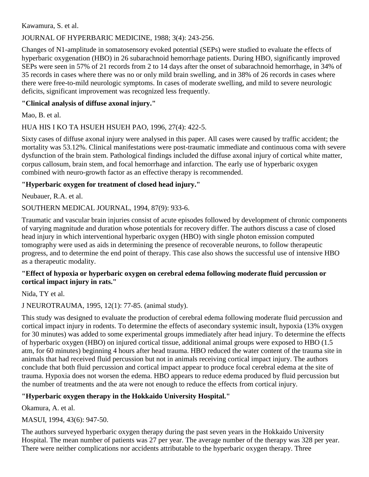Kawamura, S. et al.

# JOURNAL OF HYPERBARIC MEDICINE, 1988; 3(4): 243-256.

Changes of N1-amplitude in somatosensory evoked potential (SEPs) were studied to evaluate the effects of hyperbaric oxygenation (HBO) in 26 subarachnoid hemorrhage patients. During HBO, significantly improved SEPs were seen in 57% of 21 records from 2 to 14 days after the onset of subarachnoid hemorrhage, in 34% of 35 records in cases where there was no or only mild brain swelling, and in 38% of 26 records in cases where there were free-to-mild neurologic symptoms. In cases of moderate swelling, and mild to severe neurologic deficits, significant improvement was recognized less frequently.

### **"Clinical analysis of diffuse axonal injury."**

Mao, B. et al.

# HUA HIS I KO TA HSUEH HSUEH PAO, 1996, 27(4): 422-5.

Sixty cases of diffuse axonal injury were analysed in this paper. All cases were caused by traffic accident; the mortality was 53.12%. Clinical manifestations were post-traumatic immediate and continuous coma with severe dysfunction of the brain stem. Pathological findings included the diffuse axonal injury of cortical white matter, corpus callosum, brain stem, and focal hemorrhage and infarction. The early use of hyperbaric oxygen combined with neuro-growth factor as an effective therapy is recommended.

# **"Hyperbaric oxygen for treatment of closed head injury."**

Neubauer, R.A. et al.

# SOUTHERN MEDICAL JOURNAL, 1994, 87(9): 933-6.

Traumatic and vascular brain injuries consist of acute episodes followed by development of chronic components of varying magnitude and duration whose potentials for recovery differ. The authors discuss a case of closed head injury in which interventional hyperbaric oxygen (HBO) with single photon emission computed tomography were used as aids in determining the presence of recoverable neurons, to follow therapeutic progress, and to determine the end point of therapy. This case also shows the successful use of intensive HBO as a therapeutic modality.

#### **"Effect of hypoxia or hyperbaric oxygen on cerebral edema following moderate fluid percussion or cortical impact injury in rats."**

Nida, TY et al.

### J NEUROTRAUMA, 1995, 12(1): 77-85. (animal study).

This study was designed to evaluate the production of cerebral edema following moderate fluid percussion and cortical impact injury in rodents. To determine the effects of asecondary systemic insult, hypoxia (13% oxygen for 30 minutes) was added to some experimental groups immediately after head injury. To determine the effects of hyperbaric oxygen (HBO) on injured cortical tissue, additional animal groups were exposed to HBO (1.5 atm, for 60 minutes) beginning 4 hours after head trauma. HBO reduced the water content of the trauma site in animals that had received fluid percussion but not in animals receiving cortical impact injury. The authors conclude that both fluid percussion and cortical impact appear to produce focal cerebral edema at the site of trauma. Hypoxia does not worsen the edema. HBO appears to reduce edema produced by fluid percussion but the number of treatments and the ata were not enough to reduce the effects from cortical injury.

# **"Hyperbaric oxygen therapy in the Hokkaido University Hospital."**

Okamura, A. et al.

MASUI, 1994, 43(6): 947-50.

The authors surveyed hyperbaric oxygen therapy during the past seven years in the Hokkaido University Hospital. The mean number of patients was 27 per year. The average number of the therapy was 328 per year. There were neither complications nor accidents attributable to the hyperbaric oxygen therapy. Three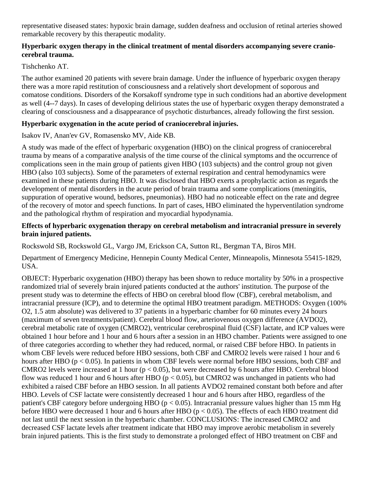representative diseased states: hypoxic brain damage, sudden deafness and occlusion of retinal arteries showed remarkable recovery by this therapeutic modality.

#### **Hyperbaric oxygen therapy in the clinical treatment of mental disorders accompanying severe craniocerebral trauma.**

#### Tishchenko AT.

The author examined 20 patients with severe brain damage. Under the influence of hyperbaric oxygen therapy there was a more rapid restitution of consciousness and a relatively short development of soporous and comatose conditions. Disorders of the Korsakoff syndrome type in such conditions had an abortive development as well (4--7 days). In cases of developing delirious states the use of hyperbaric oxygen therapy demonstrated a clearing of consciousness and a disappearance of psychotic disturbances, already following the first session.

### **Hyperbaric oxygenation in the acute period of craniocerebral injuries.**

Isakov IV, Anan'ev GV, Romasensko MV, Aide KB.

A study was made of the effect of hyperbaric oxygenation (HBO) on the clinical progress of craniocerebral trauma by means of a comparative analysis of the time course of the clinical symptoms and the occurrence of complications seen in the main group of patients given HBO (103 subjects) and the control group not given HBO (also 103 subjects). Some of the parameters of external respiration and central hemodynamics were examined in these patients during HBO. It was disclosed that HBO exerts a prophylactic action as regards the development of mental disorders in the acute period of brain trauma and some complications (meningitis, suppuration of operative wound, bedsores, pneumonias). HBO had no noticeable effect on the rate and degree of the recovery of motor and speech functions. In part of cases, HBO eliminated the hyperventilation syndrome and the pathological rhythm of respiration and myocardial hypodynamia.

#### **Effects of hyperbaric oxygenation therapy on cerebral metabolism and intracranial pressure in severely brain injured patients.**

Rockswold SB, Rockswold GL, Vargo JM, Erickson CA, Sutton RL, Bergman TA, Biros MH.

Department of Emergency Medicine, Hennepin County Medical Center, Minneapolis, Minnesota 55415-1829, USA.

OBJECT: Hyperbaric oxygenation (HBO) therapy has been shown to reduce mortality by 50% in a prospective randomized trial of severely brain injured patients conducted at the authors' institution. The purpose of the present study was to determine the effects of HBO on cerebral blood flow (CBF), cerebral metabolism, and intracranial pressure (ICP), and to determine the optimal HBO treatment paradigm. METHODS: Oxygen (100% O2, 1.5 atm absolute) was delivered to 37 patients in a hyperbaric chamber for 60 minutes every 24 hours (maximum of seven treatments/patient). Cerebral blood flow, arteriovenous oxygen difference (AVDO2), cerebral metabolic rate of oxygen (CMRO2), ventricular cerebrospinal fluid (CSF) lactate, and ICP values were obtained 1 hour before and 1 hour and 6 hours after a session in an HBO chamber. Patients were assigned to one of three categories according to whether they had reduced, normal, or raised CBF before HBO. In patients in whom CBF levels were reduced before HBO sessions, both CBF and CMRO2 levels were raised 1 hour and 6 hours after HBO ( $p < 0.05$ ). In patients in whom CBF levels were normal before HBO sessions, both CBF and CMRO2 levels were increased at 1 hour ( $p < 0.05$ ), but were decreased by 6 hours after HBO. Cerebral blood flow was reduced 1 hour and 6 hours after HBO ( $p < 0.05$ ), but CMRO2 was unchanged in patients who had exhibited a raised CBF before an HBO session. In all patients AVDO2 remained constant both before and after HBO. Levels of CSF lactate were consistently decreased 1 hour and 6 hours after HBO, regardless of the patient's CBF category before undergoing HBO ( $p < 0.05$ ). Intracranial pressure values higher than 15 mm Hg before HBO were decreased 1 hour and 6 hours after HBO (p < 0.05). The effects of each HBO treatment did not last until the next session in the hyperbaric chamber. CONCLUSIONS: The increased CMRO2 and decreased CSF lactate levels after treatment indicate that HBO may improve aerobic metabolism in severely brain injured patients. This is the first study to demonstrate a prolonged effect of HBO treatment on CBF and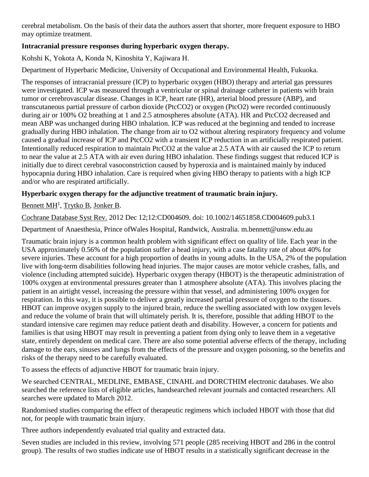cerebral metabolism. On the basis of their data the authors assert that shorter, more frequent exposure to HBO may optimize treatment.

# **Intracranial pressure responses during hyperbaric oxygen therapy.**

Kohshi K, Yokota A, Konda N, Kinoshita Y, Kajiwara H.

Department of Hyperbaric Medicine, University of Occupational and Environmental Health, Fukuoka.

The responses of intracranial pressure (ICP) to hyperbaric oxygen (HBO) therapy and arterial gas pressures were investigated. ICP was measured through a ventricular or spinal drainage catheter in patients with brain tumor or cerebrovascular disease. Changes in ICP, heart rate (HR), arterial blood pressure (ABP), and transcutaneous partial pressure of carbon dioxide (PtcCO2) or oxygen (PtcO2) were recorded continuously during air or 100% O2 breathing at 1 and 2.5 atmospheres absolute (ATA). HR and PtcCO2 decreased and mean ABP was unchanged during HBO inhalation. ICP was reduced at the beginning and tended to increase gradually during HBO inhalation. The change from air to O2 without altering respiratory frequency and volume caused a gradual increase of ICP and PtcCO2 with a transient ICP reduction in an artificially respirated patient. Intentionally reduced respiration to maintain PtcCO2 at the value at 2.5 ATA with air caused the ICP to return to near the value at 2.5 ATA with air even during HBO inhalation. These findings suggest that reduced ICP is initially due to direct cerebral vasoconstriction caused by hyperoxia and is maintained mainly by induced hypocapnia during HBO inhalation. Care is required when giving HBO therapy to patients with a high ICP and/or who are respirated artificially.

# **Hyperbaric oxygen therapy for the adjunctive treatment of traumatic brain injury.**

[Bennett MH](https://www.ncbi.nlm.nih.gov/pubmed/?term=Bennett%20MH%5BAuthor%5D&cauthor=true&cauthor_uid=23235612)<sup>1</sup>, [Trytko B,](https://www.ncbi.nlm.nih.gov/pubmed/?term=Trytko%20B%5BAuthor%5D&cauthor=true&cauthor_uid=23235612) [Jonker B.](https://www.ncbi.nlm.nih.gov/pubmed/?term=Jonker%20B%5BAuthor%5D&cauthor=true&cauthor_uid=23235612)

[Cochrane Database Syst Rev.](https://www.ncbi.nlm.nih.gov/pubmed/23235612) 2012 Dec 12;12:CD004609. doi: 10.1002/14651858.CD004609.pub3.1

Department of Anaesthesia, Prince ofWales Hospital, Randwick, Australia. m.bennett@unsw.edu.au

Traumatic brain injury is a common health problem with significant effect on quality of life. Each year in the USA approximately 0.56% of the population suffer a head injury, with a case fatality rate of about 40% for severe injuries. These account for a high proportion of deaths in young adults. In the USA, 2% of the population live with long-term disabilities following head injuries. The major causes are motor vehicle crashes, falls, and violence (including attempted suicide). Hyperbaric oxygen therapy (HBOT) is the therapeutic administration of 100% oxygen at environmental pressures greater than 1 atmosphere absolute (ATA). This involves placing the patient in an airtight vessel, increasing the pressure within that vessel, and administering 100% oxygen for respiration. In this way, it is possible to deliver a greatly increased partial pressure of oxygen to the tissues. HBOT can improve oxygen supply to the injured brain, reduce the swelling associated with low oxygen levels and reduce the volume of brain that will ultimately perish. It is, therefore, possible that adding HBOT to the standard intensive care regimen may reduce patient death and disability. However, a concern for patients and families is that using HBOT may result in preventing a patient from dying only to leave them in a vegetative state, entirely dependent on medical care. There are also some potential adverse effects of the therapy, including damage to the ears, sinuses and lungs from the effects of the pressure and oxygen poisoning, so the benefits and risks of the therapy need to be carefully evaluated.

To assess the effects of adjunctive HBOT for traumatic brain injury.

We searched CENTRAL, MEDLINE, EMBASE, CINAHL and DORCTHIM electronic databases. We also searched the reference lists of eligible articles, handsearched relevant journals and contacted researchers. All searches were updated to March 2012.

Randomised studies comparing the effect of therapeutic regimens which included HBOT with those that did not, for people with traumatic brain injury.

Three authors independently evaluated trial quality and extracted data.

Seven studies are included in this review, involving 571 people (285 receiving HBOT and 286 in the control group). The results of two studies indicate use of HBOT results in a statistically significant decrease in the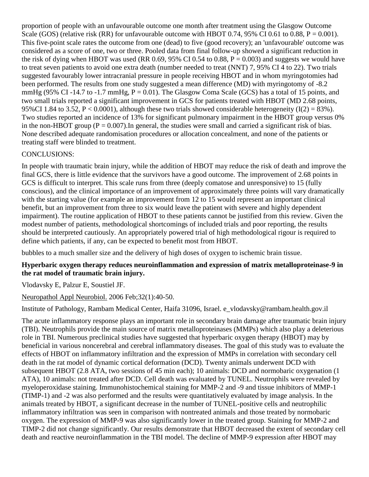proportion of people with an unfavourable outcome one month after treatment using the Glasgow Outcome Scale (GOS) (relative risk (RR) for unfavourable outcome with HBOT 0.74, 95% CI 0.61 to 0.88,  $P = 0.001$ ). This five-point scale rates the outcome from one (dead) to five (good recovery); an 'unfavourable' outcome was considered as a score of one, two or three. Pooled data from final follow-up showed a significant reduction in the risk of dying when HBOT was used (RR 0.69, 95% CI 0.54 to 0.88,  $P = 0.003$ ) and suggests we would have to treat seven patients to avoid one extra death (number needed to treat (NNT) 7, 95% CI 4 to 22). Two trials suggested favourably lower intracranial pressure in people receiving HBOT and in whom myringotomies had been performed. The results from one study suggested a mean difference (MD) with myringotomy of -8.2 mmHg (95% CI -14.7 to -1.7 mmHg,  $P = 0.01$ ). The Glasgow Coma Scale (GCS) has a total of 15 points, and two small trials reported a significant improvement in GCS for patients treated with HBOT (MD 2.68 points, 95%CI 1.84 to 3.52,  $P < 0.0001$ ), although these two trials showed considerable heterogeneity (I(2) = 83%). Two studies reported an incidence of 13% for significant pulmonary impairment in the HBOT group versus 0% in the non-HBOT group  $(P = 0.007)$ . In general, the studies were small and carried a significant risk of bias. None described adequate randomisation procedures or allocation concealment, and none of the patients or treating staff were blinded to treatment.

#### CONCLUSIONS:

In people with traumatic brain injury, while the addition of HBOT may reduce the risk of death and improve the final GCS, there is little evidence that the survivors have a good outcome. The improvement of 2.68 points in GCS is difficult to interpret. This scale runs from three (deeply comatose and unresponsive) to 15 (fully conscious), and the clinical importance of an improvement of approximately three points will vary dramatically with the starting value (for example an improvement from 12 to 15 would represent an important clinical benefit, but an improvement from three to six would leave the patient with severe and highly dependent impairment). The routine application of HBOT to these patients cannot be justified from this review. Given the modest number of patients, methodological shortcomings of included trials and poor reporting, the results should be interpreted cautiously. An appropriately powered trial of high methodological rigour is required to define which patients, if any, can be expected to benefit most from HBOT.

bubbles to a much smaller size and the delivery of high doses of oxygen to ischemic brain tissue.

#### **Hyperbaric oxygen therapy reduces neuroinflammation and expression of matrix metalloproteinase-9 in the rat model of traumatic brain injury.**

[Vlodavsky E,](http://www.ncbi.nlm.nih.gov/entrez/query.fcgi?db=pubmed&cmd=Search&itool=pubmed_AbstractPlus&term=%22Vlodavsky+E%22%5BAuthor%5D) [Palzur E,](http://www.ncbi.nlm.nih.gov/entrez/query.fcgi?db=pubmed&cmd=Search&itool=pubmed_AbstractPlus&term=%22Palzur+E%22%5BAuthor%5D) [Soustiel JF.](http://www.ncbi.nlm.nih.gov/entrez/query.fcgi?db=pubmed&cmd=Search&itool=pubmed_AbstractPlus&term=%22Soustiel+JF%22%5BAuthor%5D)

[Neuropathol Appl Neurobiol.](javascript:AL_get(this,%20) 2006 Feb;32(1):40-50.

Institute of Pathology, Rambam Medical Center, Haifa 31096, Israel. e\_vlodavsky@rambam.health.gov.il

The acute inflammatory response plays an important role in secondary brain damage after traumatic brain injury (TBI). Neutrophils provide the main source of matrix metalloproteinases (MMPs) which also play a deleterious role in TBI. Numerous preclinical studies have suggested that hyperbaric oxygen therapy (HBOT) may by beneficial in various noncerebral and cerebral inflammatory diseases. The goal of this study was to evaluate the effects of HBOT on inflammatory infiltration and the expression of MMPs in correlation with secondary cell death in the rat model of dynamic cortical deformation (DCD). Twenty animals underwent DCD with subsequent HBOT (2.8 ATA, two sessions of 45 min each); 10 animals: DCD and normobaric oxygenation (1 ATA), 10 animals: not treated after DCD. Cell death was evaluated by TUNEL. Neutrophils were revealed by myeloperoxidase staining. Immunohistochemical staining for MMP-2 and -9 and tissue inhibitors of MMP-1 (TIMP-1) and -2 was also performed and the results were quantitatively evaluated by image analysis. In the animals treated by HBOT, a significant decrease in the number of TUNEL-positive cells and neutrophilic inflammatory infiltration was seen in comparison with nontreated animals and those treated by normobaric oxygen. The expression of MMP-9 was also significantly lower in the treated group. Staining for MMP-2 and TIMP-2 did not change significantly. Our results demonstrate that HBOT decreased the extent of secondary cell death and reactive neuroinflammation in the TBI model. The decline of MMP-9 expression after HBOT may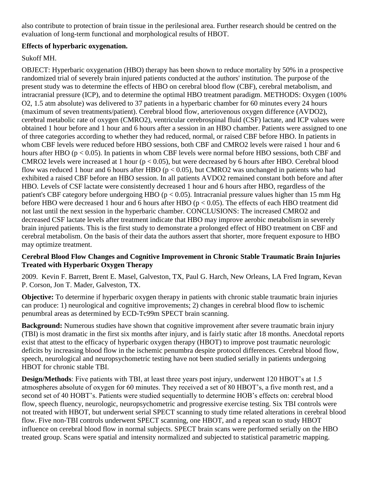also contribute to protection of brain tissue in the perilesional area. Further research should be centred on the evaluation of long-term functional and morphological results of HBOT.

#### **Effects of hyperbaric oxygenation.**

### Sukoff MH.

OBJECT: Hyperbaric oxygenation (HBO) therapy has been shown to reduce mortality by 50% in a prospective randomized trial of severely brain injured patients conducted at the authors' institution. The purpose of the present study was to determine the effects of HBO on cerebral blood flow (CBF), cerebral metabolism, and intracranial pressure (ICP), and to determine the optimal HBO treatment paradigm. METHODS: Oxygen (100% O2, 1.5 atm absolute) was delivered to 37 patients in a hyperbaric chamber for 60 minutes every 24 hours (maximum of seven treatments/patient). Cerebral blood flow, arteriovenous oxygen difference (AVDO2), cerebral metabolic rate of oxygen (CMRO2), ventricular cerebrospinal fluid (CSF) lactate, and ICP values were obtained 1 hour before and 1 hour and 6 hours after a session in an HBO chamber. Patients were assigned to one of three categories according to whether they had reduced, normal, or raised CBF before HBO. In patients in whom CBF levels were reduced before HBO sessions, both CBF and CMRO2 levels were raised 1 hour and 6 hours after HBO ( $p < 0.05$ ). In patients in whom CBF levels were normal before HBO sessions, both CBF and CMRO2 levels were increased at 1 hour ( $p < 0.05$ ), but were decreased by 6 hours after HBO. Cerebral blood flow was reduced 1 hour and 6 hours after HBO ( $p < 0.05$ ), but CMRO2 was unchanged in patients who had exhibited a raised CBF before an HBO session. In all patients AVDO2 remained constant both before and after HBO. Levels of CSF lactate were consistently decreased 1 hour and 6 hours after HBO, regardless of the patient's CBF category before undergoing HBO ( $p < 0.05$ ). Intracranial pressure values higher than 15 mm Hg before HBO were decreased 1 hour and 6 hours after HBO ( $p < 0.05$ ). The effects of each HBO treatment did not last until the next session in the hyperbaric chamber. CONCLUSIONS: The increased CMRO2 and decreased CSF lactate levels after treatment indicate that HBO may improve aerobic metabolism in severely brain injured patients. This is the first study to demonstrate a prolonged effect of HBO treatment on CBF and cerebral metabolism. On the basis of their data the authors assert that shorter, more frequent exposure to HBO may optimize treatment.

### **Cerebral Blood Flow Changes and Cognitive Improvement in Chronic Stable Traumatic Brain Injuries Treated with Hyperbaric Oxygen Therapy**

2009. Kevin F. Barrett, Brent E. Masel, Galveston, TX, Paul G. Harch, New Orleans, LA Fred Ingram, Kevan P. Corson, Jon T. Mader, Galveston, TX.

**Objective:** To determine if hyperbaric oxygen therapy in patients with chronic stable traumatic brain injuries can produce: 1) neurological and cognitive improvements; 2) changes in cerebral blood flow to ischemic penumbral areas as determined by ECD-Tc99m SPECT brain scanning.

**Background:** Numerous studies have shown that cognitive improvement after severe traumatic brain injury (TBI) is most dramatic in the first six months after injury, and is fairly static after 18 months. Anecdotal reports exist that attest to the efficacy of hyperbaric oxygen therapy (HBOT) to improve post traumatic neurologic deficits by increasing blood flow in the ischemic penumbra despite protocol differences. Cerebral blood flow, speech, neurological and neuropsychometric testing have not been studied serially in patients undergoing HBOT for chronic stable TBI.

**Design/Methods**: Five patients with TBI, at least three years post injury, underwent 120 HBOT's at 1.5 atmospheres absolute of oxygen for 60 minutes. They received a set of 80 HBOT's, a five month rest, and a second set of 40 HOBT's. Patients were studied sequentially to determine HOB's effects on: cerebral blood flow, speech fluency, neurologic, neuropsychometric and progressive exercise testing. Six TBI controls were not treated with HBOT, but underwent serial SPECT scanning to study time related alterations in cerebral blood flow. Five non-TBI controls underwent SPECT scanning, one HBOT, and a repeat scan to study HBOT influence on cerebral blood flow in normal subjects. SPECT brain scans were performed serially on the HBO treated group. Scans were spatial and intensity normalized and subjected to statistical parametric mapping.